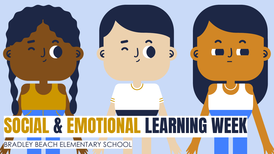# $\overline{\mathbf{C}}$ 2 5 LEARNING WEEK BRADLEY BEACH ELEMENTARY SCHOOL

 $\mathcal{L}$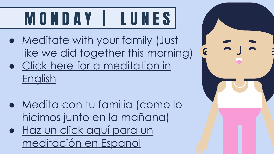## M O N D A Y | L U N E S

- Meditate with your family (Just like we did together this morning)
- [Click here for a meditation in](https://www.youtube.com/watch?v=tLb3OV6LO_s) [English](https://www.youtube.com/watch?v=tLb3OV6LO_s)
- Medita con tu familia (como lo hicimos junto en la mañana)
- [Haz un click aquí para un](https://www.youtube.com/watch?v=DwwPiZN7X0M) [meditación en Espanol](https://www.youtube.com/watch?v=DwwPiZN7X0M)

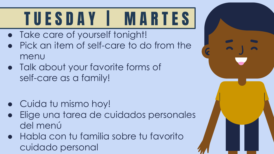# T U E S D A Y | M A R T E S

- Take care of yourself tonight!
- Pick an item of self-care to do from the menu
- Talk about your favorite forms of self-care as a family!
- Cuida tu mismo hoy!
- Elige una tarea de cuidados personales del menú
- Habla con tu familia sobre tu favorito cuidado personal

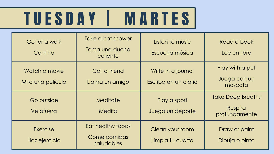### TUESDAY | MARTES|

| Go for a walk<br>Camina            | Take a hot shower<br>Toma una ducha<br>caliente | Listen to music<br>Escucha música          | Read a book<br>Lee un libro                          |
|------------------------------------|-------------------------------------------------|--------------------------------------------|------------------------------------------------------|
| Watch a movie<br>Mira una película | Call a friend<br>Llama un amigo                 | Write in a journal<br>Escriba en un diario | Play with a pet<br>Juega con un<br>mascota           |
|                                    |                                                 |                                            |                                                      |
| Go outside<br>Ve afuera            | Meditate<br><b>Medita</b>                       | Play a sport<br>Juega un deporte           | <b>Take Deep Breaths</b><br>Respira<br>profundamente |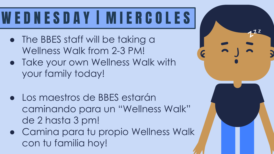#### WED NESDAY I MIERCOLES

- The BBES staff will be taking a Wellness Walk from 2-3 PM!
- Take your own Wellness Walk with your family today!
- Los maestros de BBES estarán caminando para un "Wellness Walk" de 2 hasta 3 pm!
- Camina para tu propio Wellness Walk con tu familia hoy!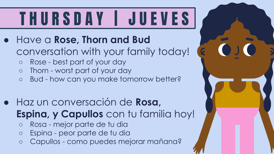# T H U R S D A Y | J U E V E S

- Have a **Rose, Thorn and Bud**  conversation with your family today!
	- Rose best part of your day
	- Thorn worst part of your day
	- Bud how can you make tomorrow better?
- Haz un conversación de **Rosa, Espina, y Capullos** con tu familia hoy!
	- Rosa mejor parte de tu dia
	- Espina peor parte de tu dia
	- Capullos como puedes mejorar mañana?

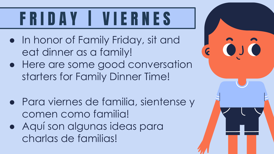## F R I D A Y | V I E R N E S

- In honor of Family Friday, sit and eat dinner as a family!
- Here are some good conversation starters for Family Dinner Time!
- Para viernes de familia, sientense y comen como familia!
- Aquí son algunas ideas para charlas de familias!